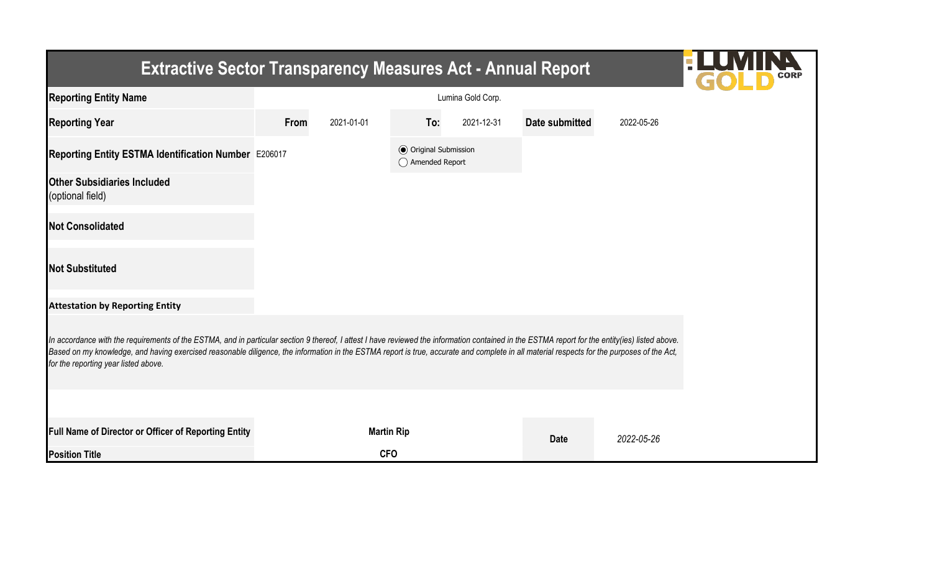| <b>Extractive Sector Transparency Measures Act - Annual Report</b>                                                                                                                                                                                                                                                                                                                                                                    |                   |                   |                                                  |            |                |            |  |  |  |
|---------------------------------------------------------------------------------------------------------------------------------------------------------------------------------------------------------------------------------------------------------------------------------------------------------------------------------------------------------------------------------------------------------------------------------------|-------------------|-------------------|--------------------------------------------------|------------|----------------|------------|--|--|--|
| <b>Reporting Entity Name</b>                                                                                                                                                                                                                                                                                                                                                                                                          | Lumina Gold Corp. |                   |                                                  |            |                |            |  |  |  |
| <b>Reporting Year</b>                                                                                                                                                                                                                                                                                                                                                                                                                 | From              | 2021-01-01        | To:                                              | 2021-12-31 | Date submitted | 2022-05-26 |  |  |  |
| Reporting Entity ESTMA Identification Number E206017                                                                                                                                                                                                                                                                                                                                                                                  |                   |                   | <b>◎</b> Original Submission<br>◯ Amended Report |            |                |            |  |  |  |
| <b>Other Subsidiaries Included</b><br>(optional field)                                                                                                                                                                                                                                                                                                                                                                                |                   |                   |                                                  |            |                |            |  |  |  |
| <b>Not Consolidated</b>                                                                                                                                                                                                                                                                                                                                                                                                               |                   |                   |                                                  |            |                |            |  |  |  |
| <b>Not Substituted</b>                                                                                                                                                                                                                                                                                                                                                                                                                |                   |                   |                                                  |            |                |            |  |  |  |
| <b>Attestation by Reporting Entity</b>                                                                                                                                                                                                                                                                                                                                                                                                |                   |                   |                                                  |            |                |            |  |  |  |
| In accordance with the requirements of the ESTMA, and in particular section 9 thereof, I attest I have reviewed the information contained in the ESTMA report for the entity(ies) listed above.<br>Based on my knowledge, and having exercised reasonable diligence, the information in the ESTMA report is true, accurate and complete in all material respects for the purposes of the Act,<br>for the reporting year listed above. |                   |                   |                                                  |            |                |            |  |  |  |
|                                                                                                                                                                                                                                                                                                                                                                                                                                       |                   |                   |                                                  |            |                |            |  |  |  |
| Full Name of Director or Officer of Reporting Entity                                                                                                                                                                                                                                                                                                                                                                                  |                   | <b>Martin Rip</b> |                                                  |            | <b>Date</b>    | 2022-05-26 |  |  |  |
| <b>Position Title</b>                                                                                                                                                                                                                                                                                                                                                                                                                 |                   | <b>CFO</b>        |                                                  |            |                |            |  |  |  |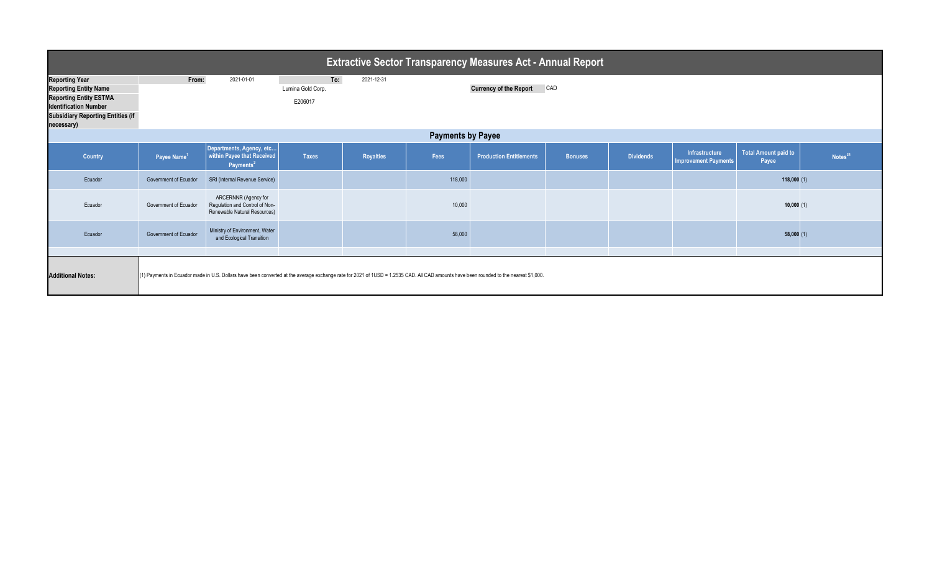| <b>Extractive Sector Transparency Measures Act - Annual Report</b>                                                                                                               |                         |                                                                                        |                                     |                  |         |                                                                                                                                                                                        |                |                  |                                        |                                      |                     |
|----------------------------------------------------------------------------------------------------------------------------------------------------------------------------------|-------------------------|----------------------------------------------------------------------------------------|-------------------------------------|------------------|---------|----------------------------------------------------------------------------------------------------------------------------------------------------------------------------------------|----------------|------------------|----------------------------------------|--------------------------------------|---------------------|
| <b>Reporting Year</b><br><b>Reporting Entity Name</b><br><b>Reporting Entity ESTMA</b><br><b>Identification Number</b><br><b>Subsidiary Reporting Entities (if</b><br>necessary) | From:                   | 2021-01-01                                                                             | To:<br>Lumina Gold Corp.<br>E206017 | 2021-12-31       |         | <b>Currency of the Report</b>                                                                                                                                                          | CAD            |                  |                                        |                                      |                     |
| <b>Payments by Payee</b>                                                                                                                                                         |                         |                                                                                        |                                     |                  |         |                                                                                                                                                                                        |                |                  |                                        |                                      |                     |
| Country                                                                                                                                                                          | Payee Name <sup>1</sup> | Departments, Agency, etc<br>within Payee that Received<br>Payments <sup>2</sup>        | <b>Taxes</b>                        | <b>Royalties</b> | Fees    | <b>Production Entitlements</b>                                                                                                                                                         | <b>Bonuses</b> | <b>Dividends</b> | Infrastructure<br>Improvement Payments | <b>Total Amount paid to</b><br>Payee | Notes <sup>34</sup> |
| Ecuador                                                                                                                                                                          | Government of Ecuador   | SRI (Internal Revenue Service)                                                         |                                     |                  | 118,000 |                                                                                                                                                                                        |                |                  |                                        | 118,000(1)                           |                     |
| Ecuador                                                                                                                                                                          | Government of Ecuador   | ARCERNNR (Agency for<br>Regulation and Control of Non-<br>Renewable Natural Resources) |                                     |                  | 10,000  |                                                                                                                                                                                        |                |                  |                                        | 10,000(1)                            |                     |
| Ecuador                                                                                                                                                                          | Government of Ecuador   | Ministry of Environment, Water<br>and Ecological Transition                            |                                     |                  | 58,000  |                                                                                                                                                                                        |                |                  |                                        | 58,000(1)                            |                     |
| <b>Additional Notes:</b>                                                                                                                                                         |                         |                                                                                        |                                     |                  |         | (1) Payments in Ecuador made in U.S. Dollars have been converted at the average exchange rate for 2021 of 1USD = 1.2535 CAD. All CAD amounts have been rounded to the nearest \$1,000. |                |                  |                                        |                                      |                     |